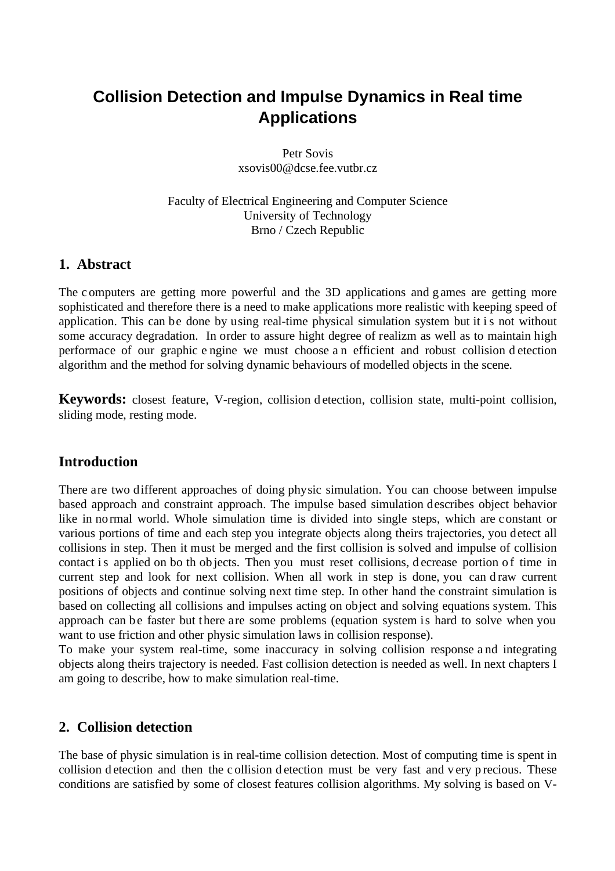# **Collision Detection and Impulse Dynamics in Real time Applications**

Petr Sovis xsovis00@dcse.fee.vutbr.cz

Faculty of Electrical Engineering and Computer Science University of Technology Brno / Czech Republic

# **1. Abstract**

The c omputers are getting more powerful and the 3D applications and g ames are getting more sophisticated and therefore there is a need to make applications more realistic with keeping speed of application. This can be done by using real-time physical simulation system but it is not without some accuracy degradation. In order to assure hight degree of realizm as well as to maintain high performace of our graphic e ngine we must choose a n efficient and robust collision d etection algorithm and the method for solving dynamic behaviours of modelled objects in the scene.

**Keywords:** closest feature, V-region, collision d etection, collision state, multi-point collision, sliding mode, resting mode.

# **Introduction**

There are two different approaches of doing physic simulation. You can choose between impulse based approach and constraint approach. The impulse based simulation describes object behavior like in normal world. Whole simulation time is divided into single steps, which are constant or various portions of time and each step you integrate objects along theirs trajectories, you detect all collisions in step. Then it must be merged and the first collision is solved and impulse of collision contact is applied on bo th ob jects. Then you must reset collisions, decrease portion of time in current step and look for next collision. When all work in step is done, you can draw current positions of objects and continue solving next time step. In other hand the constraint simulation is based on collecting all collisions and impulses acting on object and solving equations system. This approach can be faster but there are some problems (equation system is hard to solve when you want to use friction and other physic simulation laws in collision response).

To make your system real-time, some inaccuracy in solving collision response a nd integrating objects along theirs trajectory is needed. Fast collision detection is needed as well. In next chapters I am going to describe, how to make simulation real-time.

# **2. Collision detection**

The base of physic simulation is in real-time collision detection. Most of computing time is spent in collision d etection and then the c ollision d etection must be very fast and v ery p recious. These conditions are satisfied by some of closest features collision algorithms. My solving is based on V-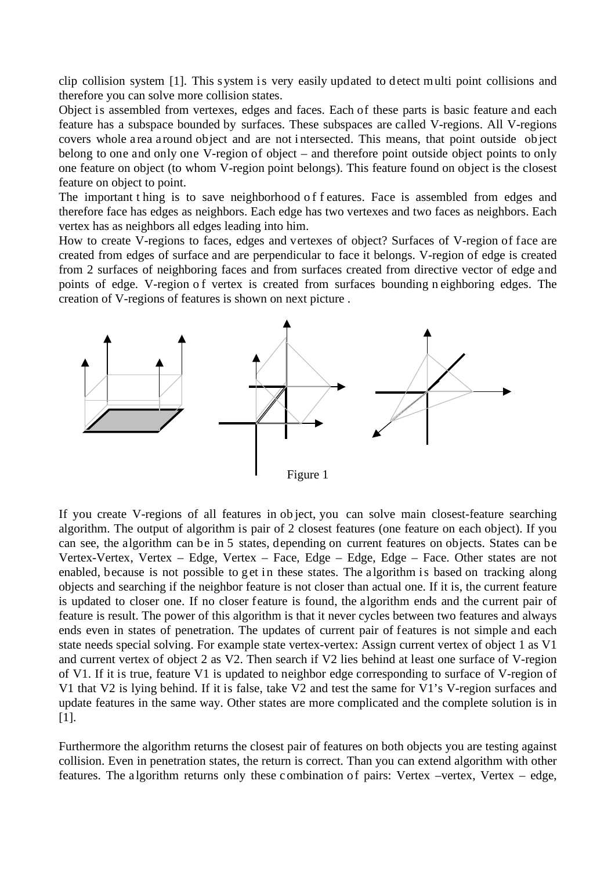clip collision system [1]. This s ystem is very easily updated to detect multi point collisions and therefore you can solve more collision states.

Object is assembled from vertexes, edges and faces. Each of these parts is basic feature and each feature has a subspace bounded by surfaces. These subspaces are called V-regions. All V-regions covers whole a rea a round object and are not i ntersected. This means, that point outside ob ject belong to one and only one V-region of object – and therefore point outside object points to only one feature on object (to whom V-region point belongs). This feature found on object is the closest feature on object to point.

The important thing is to save neighborhood of f eatures. Face is assembled from edges and therefore face has edges as neighbors. Each edge has two vertexes and two faces as neighbors. Each vertex has as neighbors all edges leading into him.

How to create V-regions to faces, edges and vertexes of object? Surfaces of V-region of face are created from edges of surface and are perpendicular to face it belongs. V-region of edge is created from 2 surfaces of neighboring faces and from surfaces created from directive vector of edge and points of edge. V-region of vertex is created from surfaces bounding n eighboring edges. The creation of V-regions of features is shown on next picture .



If you create V-regions of all features in ob ject, you can solve main closest-feature searching algorithm. The output of algorithm is pair of 2 closest features (one feature on each object). If you can see, the algorithm can be in 5 states, depending on current features on objects. States can be Vertex-Vertex, Vertex – Edge, Vertex – Face, Edge – Edge, Edge – Face. Other states are not enabled, because is not possible to get in these states. The algorithm is based on tracking along objects and searching if the neighbor feature is not closer than actual one. If it is, the current feature is updated to closer one. If no closer feature is found, the algorithm ends and the current pair of feature is result. The power of this algorithm is that it never cycles between two features and always ends even in states of penetration. The updates of current pair of features is not simple and each state needs special solving. For example state vertex-vertex: Assign current vertex of object 1 as V1 and current vertex of object 2 as V2. Then search if V2 lies behind at least one surface of V-region of V1. If it is true, feature V1 is updated to neighbor edge corresponding to surface of V-region of V1 that V2 is lying behind. If it is false, take V2 and test the same for V1's V-region surfaces and update features in the same way. Other states are more complicated and the complete solution is in [1].

Furthermore the algorithm returns the closest pair of features on both objects you are testing against collision. Even in penetration states, the return is correct. Than you can extend algorithm with other features. The algorithm returns only these combination of pairs: Vertex –vertex, Vertex – edge,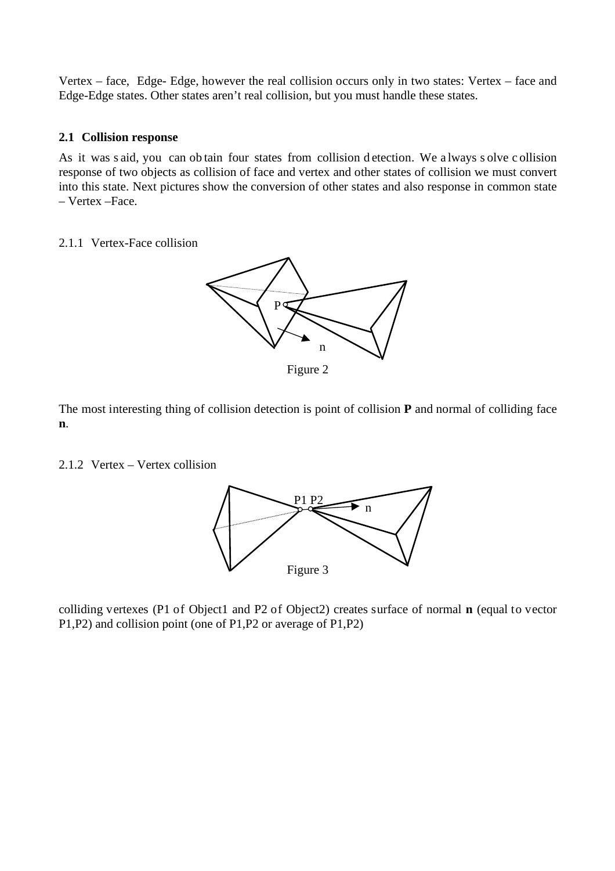Vertex – face, Edge- Edge, however the real collision occurs only in two states: Vertex – face and Edge-Edge states. Other states aren't real collision, but you must handle these states.

## **2.1 Collision response**

As it was s aid, you can ob tain four states from collision d etection. We a lways s olve c ollision response of two objects as collision of face and vertex and other states of collision we must convert into this state. Next pictures show the conversion of other states and also response in common state – Vertex –Face.

### 2.1.1 Vertex-Face collision



Figure 2

The most interesting thing of collision detection is point of collision **P** and normal of colliding face **n**.

## 2.1.2 Vertex – Vertex collision



colliding vertexes (P1 of Object1 and P2 of Object2) creates surface of normal **n** (equal to vector P1,P2) and collision point (one of P1,P2 or average of P1,P2)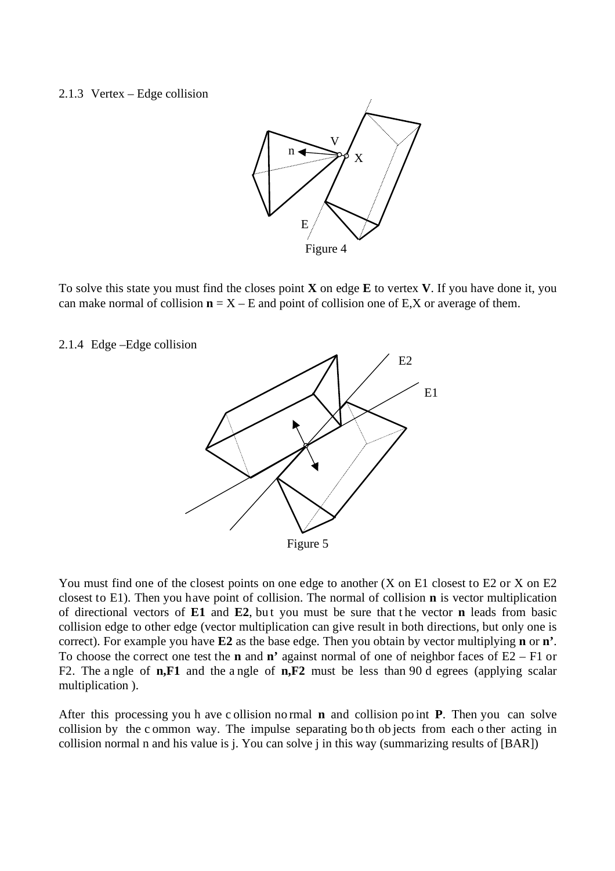#### 2.1.3 Vertex – Edge collision



To solve this state you must find the closes point **X** on edge **E** to vertex **V**. If you have done it, you can make normal of collision  $n = X - E$  and point of collision one of E,X or average of them.

2.1.4 Edge –Edge collision



You must find one of the closest points on one edge to another (X on E1 closest to E2 or X on E2 closest to E1). Then you have point of collision. The normal of collision **n** is vector multiplication of directional vectors of **E1** and **E2**, bu t you must be sure that t he vector **n** leads from basic collision edge to other edge (vector multiplication can give result in both directions, but only one is correct). For example you have **E2** as the base edge. Then you obtain by vector multiplying **n** or **n'**. To choose the correct one test the **n** and **n'** against normal of one of neighbor faces of E2 – F1 or F2. The a ngle of **n,F1** and the a ngle of **n,F2** must be less than 90 d egrees (applying scalar multiplication ).

After this processing you h ave c ollision no rmal **n** and collision po int **P**. Then you can solve collision by the c ommon way. The impulse separating bo th ob jects from each o ther acting in collision normal n and his value is j. You can solve j in this way (summarizing results of [BAR])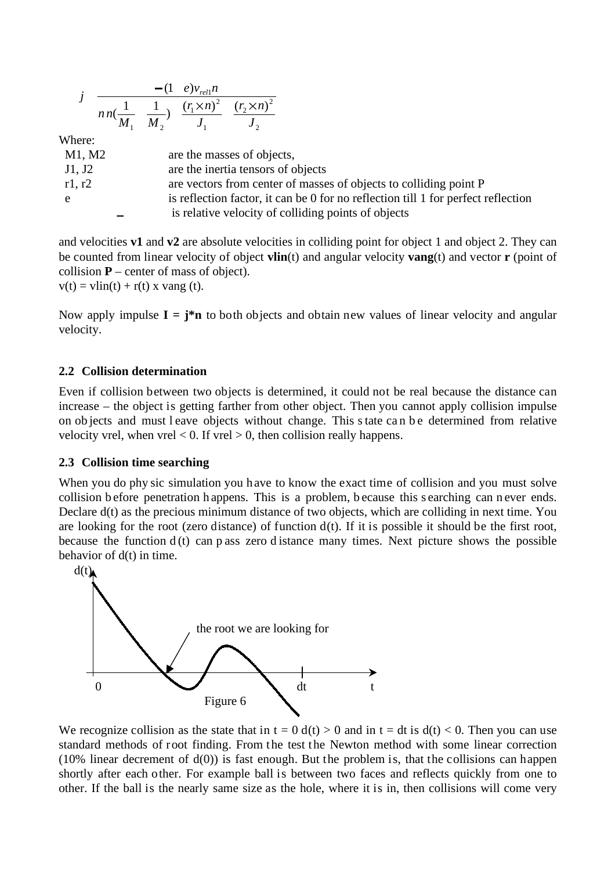|        | $-(1 \ e) v_{rel1} n$                                                                                                                    |
|--------|------------------------------------------------------------------------------------------------------------------------------------------|
|        | $nn(\frac{1}{M_1} \frac{1}{M_2})$ $\frac{(r_1 \times n)^2}{J_1} \frac{(r_2 \times n)^2}{J_2}$                                            |
|        |                                                                                                                                          |
| Where: |                                                                                                                                          |
| M1, M2 | are the masses of objects,                                                                                                               |
| J1, J2 | are the inertia tensors of objects                                                                                                       |
| r1, r2 | are vectors from center of masses of objects to colliding point P                                                                        |
| e      | is reflection factor, it can be 0 for no reflection till 1 for perfect reflection<br>is relative velocity of colliding points of objects |

and velocities **v1** and **v2** are absolute velocities in colliding point for object 1 and object 2. They can be counted from linear velocity of object **vlin**(t) and angular velocity **vang**(t) and vector **r** (point of collision  $P$  – center of mass of object).  $v(t) = \text{vlin}(t) + r(t)$  x vang (t).

Now apply impulse  $I = j^*n$  to both objects and obtain new values of linear velocity and angular velocity.

# **2.2 Collision determination**

Even if collision between two objects is determined, it could not be real because the distance can increase – the object is getting farther from other object. Then you cannot apply collision impulse on ob jects and must l eave objects without change. This state ca n b e determined from relative velocity vrel, when  $vrel < 0$ . If  $vrel > 0$ , then collision really happens.

## **2.3 Collision time searching**

When you do phy sic simulation you have to know the exact time of collision and you must solve collision b efore penetration h appens. This is a problem, b ecause this s earching can n ever ends. Declare  $d(t)$  as the precious minimum distance of two objects, which are colliding in next time. You are looking for the root (zero distance) of function  $d(t)$ . If it is possible it should be the first root, because the function  $d(t)$  can p ass zero d istance many times. Next picture shows the possible behavior of d(t) in time.



We recognize collision as the state that in  $t = 0$  d(t) > 0 and in  $t = dt$  is  $d(t) < 0$ . Then you can use standard methods of root finding. From the test the Newton method with some linear correction (10% linear decrement of  $d(0)$ ) is fast enough. But the problem is, that the collisions can happen shortly after each other. For example ball is between two faces and reflects quickly from one to other. If the ball is the nearly same size as the hole, where it is in, then collisions will come very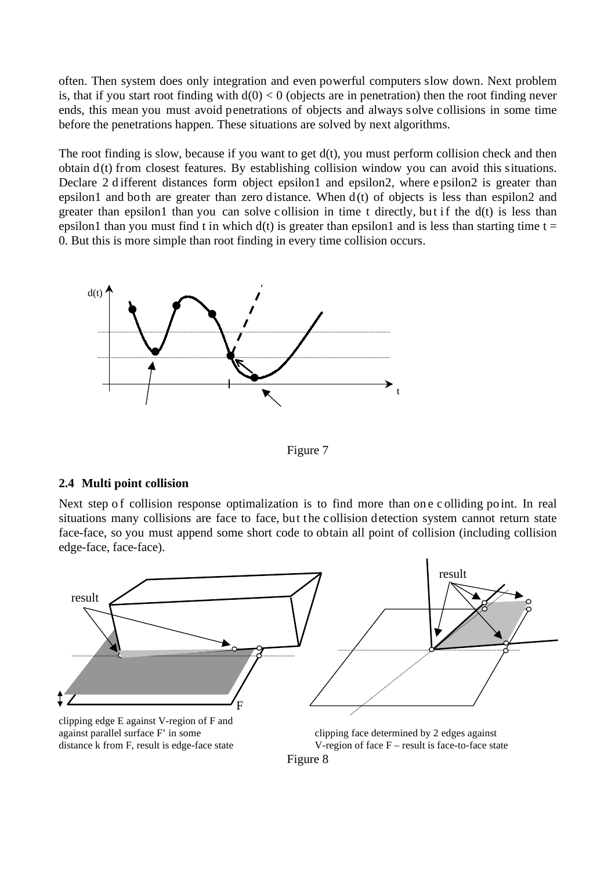often. Then system does only integration and even powerful computers slow down. Next problem is, that if you start root finding with  $d(0) < 0$  (objects are in penetration) then the root finding never ends, this mean you must avoid penetrations of objects and always solve collisions in some time before the penetrations happen. These situations are solved by next algorithms.

The root finding is slow, because if you want to get  $d(t)$ , you must perform collision check and then obtain d(t) from closest features. By establishing collision window you can avoid this situations. Declare 2 d ifferent distances form object epsilon1 and epsilon2, where epsilon2 is greater than epsilon1 and both are greater than zero distance. When  $d(t)$  of objects is less than espilon2 and greater than epsilon1 than you can solve collision in time t directly, but if the  $d(t)$  is less than epsilon1 than you must find t in which  $d(t)$  is greater than epsilon1 and is less than starting time t = 0. But this is more simple than root finding in every time collision occurs.



Figure 7

## **2.4 Multi point collision**

Next step of collision response optimalization is to find more than one colliding point. In real situations many collisions are face to face, but the collision detection system cannot return state face-face, so you must append some short code to obtain all point of collision (including collision edge-face, face-face).



Figure 8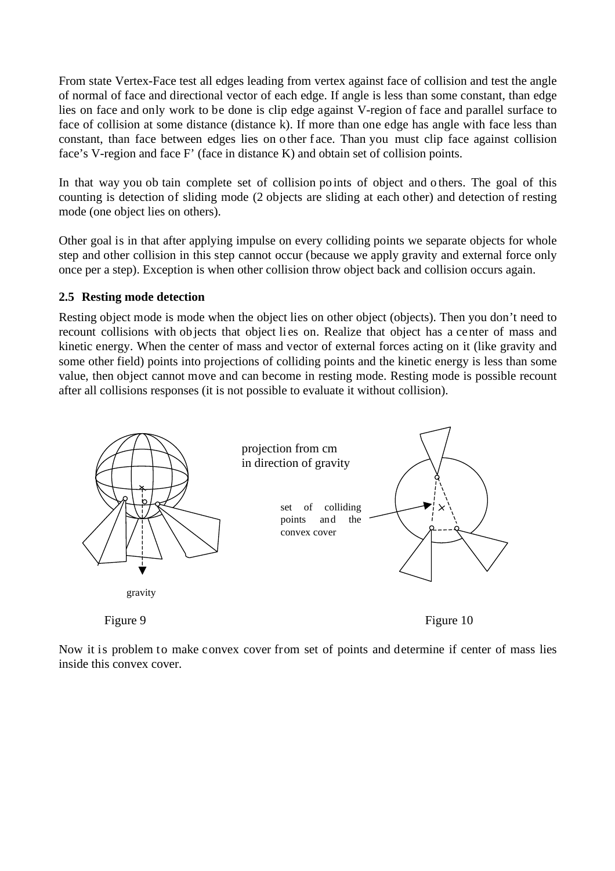From state Vertex-Face test all edges leading from vertex against face of collision and test the angle of normal of face and directional vector of each edge. If angle is less than some constant, than edge lies on face and only work to be done is clip edge against V-region of face and parallel surface to face of collision at some distance (distance k). If more than one edge has angle with face less than constant, than face between edges lies on o ther f ace. Than you must clip face against collision face's V-region and face F' (face in distance K) and obtain set of collision points.

In that way you ob tain complete set of collision po ints of object and o thers. The goal of this counting is detection of sliding mode (2 objects are sliding at each other) and detection of resting mode (one object lies on others).

Other goal is in that after applying impulse on every colliding points we separate objects for whole step and other collision in this step cannot occur (because we apply gravity and external force only once per a step). Exception is when other collision throw object back and collision occurs again.

### **2.5 Resting mode detection**

Resting object mode is mode when the object lies on other object (objects). Then you don't need to recount collisions with objects that object lies on. Realize that object has a center of mass and kinetic energy. When the center of mass and vector of external forces acting on it (like gravity and some other field) points into projections of colliding points and the kinetic energy is less than some value, then object cannot move and can become in resting mode. Resting mode is possible recount after all collisions responses (it is not possible to evaluate it without collision).



Now it is problem to make convex cover from set of points and determine if center of mass lies inside this convex cover.